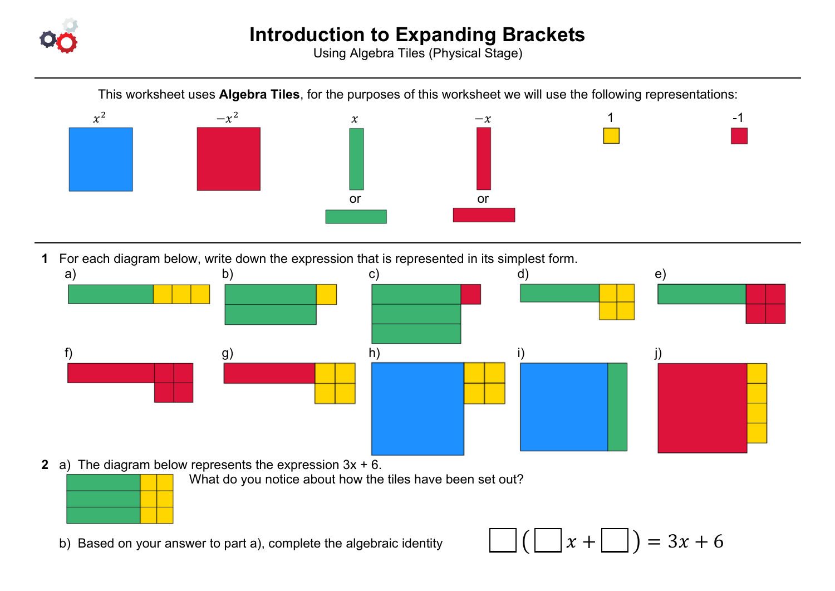

Using Algebra Tiles (Physical Stage)

This worksheet uses **Algebra Tiles**, for the purposes of this worksheet we will use the following representations:



**1** For each diagram below, write down the expression that is represented in its simplest form.



**2** a) The diagram below represents the expression 3x + 6.

What do you notice about how the tiles have been set out?

b) Based on your answer to part a), complete the algebraic identity  $||\cdot|||$   $||\cdot||$   $||x + ||$   $||) = 3x + 6$ 

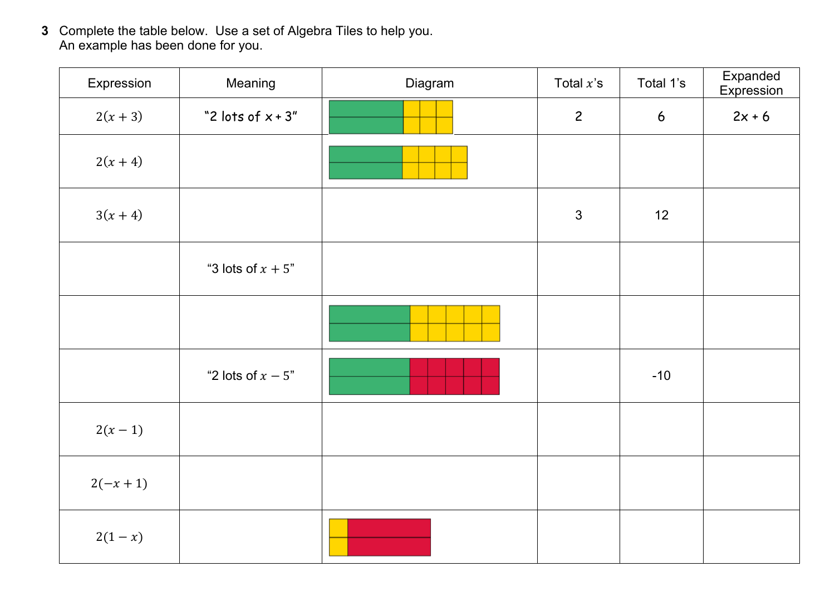**3** Complete the table below. Use a set of Algebra Tiles to help you. An example has been done for you.

| Expression | Meaning              | Diagram | Total $x$ 's   | Total 1's       | Expanded<br>Expression |
|------------|----------------------|---------|----------------|-----------------|------------------------|
| $2(x + 3)$ | "2 lots of $x + 3$ " |         | $\overline{c}$ | $6\overline{6}$ | $2x + 6$               |
| $2(x + 4)$ |                      |         |                |                 |                        |
| $3(x + 4)$ |                      |         | $\mathfrak{Z}$ | 12              |                        |
|            | "3 lots of $x + 5$ " |         |                |                 |                        |
|            |                      |         |                |                 |                        |
|            | "2 lots of $x - 5$ " |         |                | $-10$           |                        |
| $2(x - 1)$ |                      |         |                |                 |                        |
| $2(-x+1)$  |                      |         |                |                 |                        |
| $2(1-x)$   |                      |         |                |                 |                        |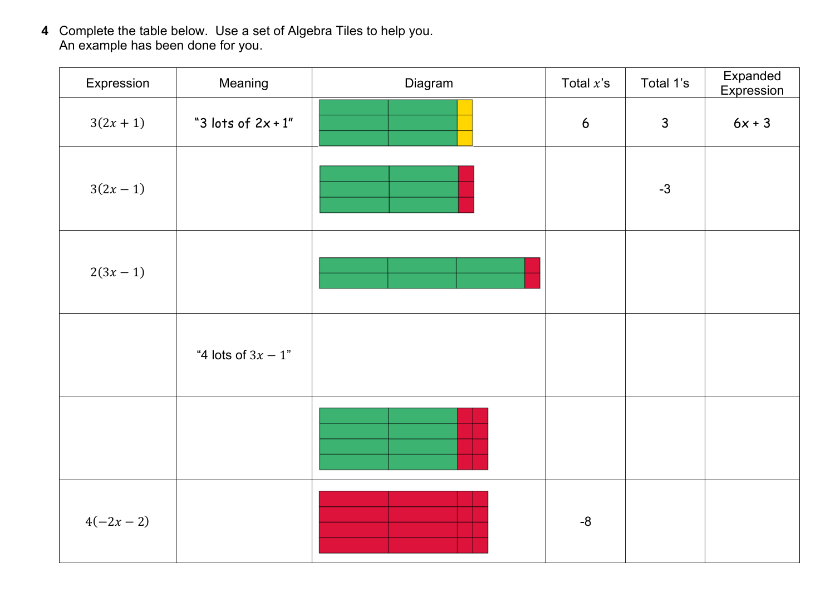**4** Complete the table below. Use a set of Algebra Tiles to help you. An example has been done for you.

| Expression  | Meaning               | Diagram | Total $x$ 's   | Total 1's    | Expanded<br>Expression |
|-------------|-----------------------|---------|----------------|--------------|------------------------|
| $3(2x + 1)$ | "3 lots of $2x + 1$ " |         | $6\phantom{a}$ | $\mathsf{3}$ | $6x + 3$               |
| $3(2x - 1)$ |                       |         |                | $-3$         |                        |
| $2(3x - 1)$ |                       |         |                |              |                        |
|             | "4 lots of $3x - 1$ " |         |                |              |                        |
|             |                       |         |                |              |                        |
| $4(-2x-2)$  |                       |         | $-8$           |              |                        |